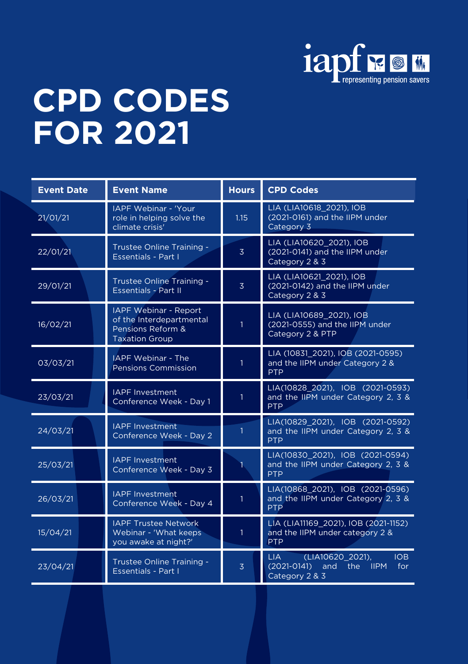

## **CPD CODES FOR 2021**

| <b>Event Date</b> | <b>Event Name</b>                                                                               | <b>Hours</b>   | <b>CPD Codes</b>                                                                                       |
|-------------------|-------------------------------------------------------------------------------------------------|----------------|--------------------------------------------------------------------------------------------------------|
| 21/01/21          | <b>IAPF Webinar - 'Your</b><br>role in helping solve the<br>climate crisis'                     | 1.15           | LIA (LIA10618_2021), IOB<br>(2021-0161) and the IIPM under<br>Category 3                               |
| 22/01/21          | Trustee Online Training -<br><b>Essentials - Part I</b>                                         | $\overline{3}$ | LIA (LIA10620 2021), IOB<br>(2021-0141) and the IIPM under<br>Category 2 & 3                           |
| 29/01/21          | Trustee Online Training -<br><b>Essentials - Part II</b>                                        | $\overline{3}$ | LIA (LIA10621 2021), IOB<br>(2021-0142) and the IIPM under<br>Category 2 & 3                           |
| 16/02/21          | IAPF Webinar - Report<br>of the Interdepartmental<br>Pensions Reform &<br><b>Taxation Group</b> | $\mathbf{1}$   | LIA (LIA10689 2021), IOB<br>(2021-0555) and the IIPM under<br>Category 2 & PTP                         |
| 03/03/21          | <b>IAPF Webinar - The</b><br><b>Pensions Commission</b>                                         | $\mathbf{1}$   | LIA (10831_2021), IOB (2021-0595)<br>and the IIPM under Category 2 &<br><b>PTP</b>                     |
| 23/03/21          | <b>IAPF Investment</b><br>Conference Week - Day 1                                               | 1              | LIA(10828 2021), IOB (2021-0593)<br>and the IIPM under Category 2, 3 &<br><b>PTP</b>                   |
| 24/03/21          | <b>IAPF</b> Investment<br>Conference Week - Day 2                                               | 1              | LIA(10829_2021), IOB (2021-0592)<br>and the IIPM under Category 2, 3 &<br><b>PTP</b>                   |
| 25/03/21          | <b>IAPF Investment</b><br>Conference Week - Day 3                                               |                | LIA(10830_2021), IOB (2021-0594)<br>and the IIPM under Category 2, 3 &<br><b>PTP</b>                   |
| 26/03/21          | <b>IAPF Investment</b><br>Conference Week - Day 4                                               | $\mathbf{1}$   | LIA(10868 2021), IOB (2021-0596)<br>and the IIPM under Category 2, 3 &<br><b>PTP</b>                   |
| 15/04/21          | <b>IAPF Trustee Network</b><br>Webinar - 'What keeps<br>vou awake at night?'                    | 1              | LIA (LIA11169_2021), IOB (2021-1152)<br>and the IIPM under category 2 &<br><b>PTP</b>                  |
| 23/04/21          | Trustee Online Training -<br><b>Essentials - Part I</b>                                         | $\overline{3}$ | LIA -<br>(LIA10620_2021),<br><b>IOB</b><br>$(2021 - 0141)$<br>and<br>the IIPM<br>for<br>Category 2 & 3 |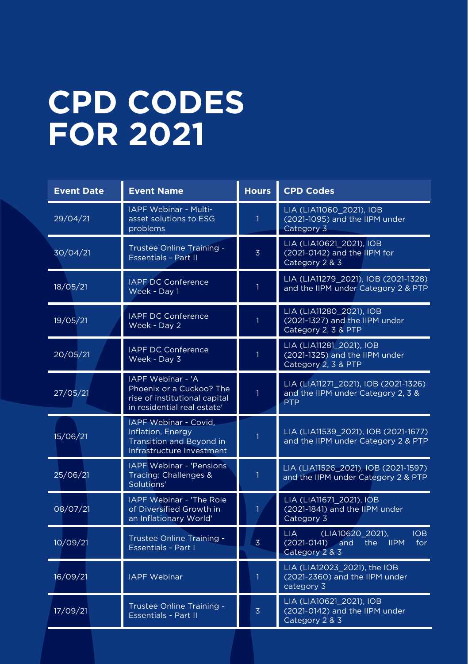## **CPD CODES FOR 2021**

| <b>Event Date</b> | <b>Event Name</b>                                                                                             | <b>Hours</b>   | <b>CPD Codes</b>                                                                                     |
|-------------------|---------------------------------------------------------------------------------------------------------------|----------------|------------------------------------------------------------------------------------------------------|
| 29/04/21          | IAPF Webinar - Multi-<br>asset solutions to ESG<br>problems                                                   | $\mathbf{1}$   | LIA (LIA11060 2021), IOB<br>(2021-1095) and the IIPM under<br>Category 3                             |
| 30/04/21          | Trustee Online Training -<br><b>Essentials - Part II</b>                                                      | $\overline{3}$ | LIA (LIA10621 2021), IOB<br>(2021-0142) and the IIPM for<br>Category 2 & 3                           |
| 18/05/21          | <b>IAPF DC Conference</b><br>Week - Day 1                                                                     | 1              | LIA (LIA11279 2021), IOB (2021-1328)<br>and the IIPM under Category 2 & PTP                          |
| 19/05/21          | <b>IAPF DC Conference</b><br>Week - Day 2                                                                     | $\mathbf{1}$   | LIA (LIA11280 2021), IOB<br>(2021-1327) and the IIPM under<br>Category 2, 3 & PTP                    |
| 20/05/21          | <b>IAPF DC Conference</b><br>Week - Day 3                                                                     | 1              | LIA (LIA11281 2021), IOB<br>(2021-1325) and the IIPM under<br>Category 2, 3 & PTP                    |
| 27/05/21          | IAPF Webinar - 'A<br>Phoenix or a Cuckoo? The<br>rise of institutional capital<br>in residential real estate' | $\mathbf{1}$   | LIA (LIA11271 2021), IOB (2021-1326)<br>and the IIPM under Category 2, 3 &<br><b>PTP</b>             |
| 15/06/21          | IAPF Webinar - Covid.<br>Inflation, Energy<br><b>Transition and Beyond in</b><br>Infrastructure Investment    | 1              | LIA (LIA11539 2021), IOB (2021-1677)<br>and the IIPM under Category 2 & PTP                          |
| 25/06/21          | <b>IAPF Webinar - 'Pensions'</b><br>Tracing: Challenges &<br>Solutions'                                       | 1              | LIA (LIA11526 2021), IOB (2021-1597)<br>and the IIPM under Category 2 & PTP                          |
| 08/07/21          | <b>IAPF Webinar - 'The Role</b><br>of Diversified Growth in<br>an Inflationary World'                         | $\mathbf{1}$   | LIA (LIA11671_2021), IOB<br>(2021-1841) and the IIPM under<br>Category 3                             |
| 10/09/21          | Trustee Online Training -<br><b>Essentials - Part I</b>                                                       | $\overline{3}$ | (LIA10620 2021),<br>IOB<br>LIA  <br>$(2021-0141)$ and<br><b>IIPM</b><br>for<br>the<br>Category 2 & 3 |
| 16/09/21          | <b>IAPF Webinar</b>                                                                                           | 1              | LIA (LIA12023 2021), the IOB<br>(2021-2360) and the IIPM under<br>category 3                         |
| 17/09/21          | Trustee Online Training -<br><b>Essentials - Part II</b>                                                      | $\overline{3}$ | LIA (LIA10621 2021), IOB<br>(2021-0142) and the IIPM under<br>Category 2 & 3                         |